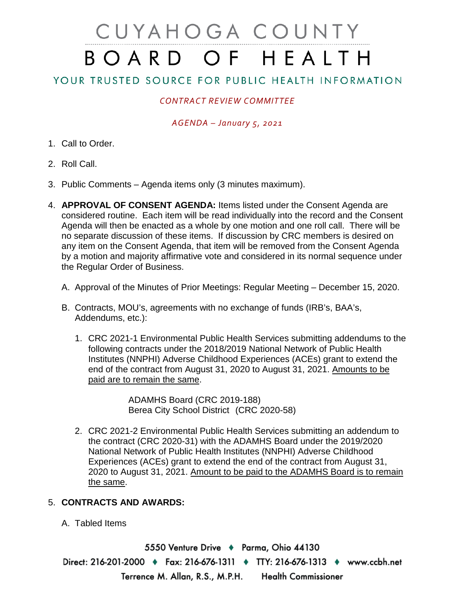# CUYAHOGA COUNTY BOARD OF HEALTH

# YOUR TRUSTED SOURCE FOR PUBLIC HEALTH INFORMATION

## *CONTRACT REVIEW COMMITTEE*

#### *AGENDA – January 5, 2021*

- 1. Call to Order.
- 2. Roll Call.
- 3. Public Comments Agenda items only (3 minutes maximum).
- 4. **APPROVAL OF CONSENT AGENDA:** Items listed under the Consent Agenda are considered routine. Each item will be read individually into the record and the Consent Agenda will then be enacted as a whole by one motion and one roll call. There will be no separate discussion of these items. If discussion by CRC members is desired on any item on the Consent Agenda, that item will be removed from the Consent Agenda by a motion and majority affirmative vote and considered in its normal sequence under the Regular Order of Business.
	- A. Approval of the Minutes of Prior Meetings: Regular Meeting December 15, 2020.
	- B. Contracts, MOU's, agreements with no exchange of funds (IRB's, BAA's, Addendums, etc.):
		- 1. CRC 2021-1 Environmental Public Health Services submitting addendums to the following contracts under the 2018/2019 National Network of Public Health Institutes (NNPHI) Adverse Childhood Experiences (ACEs) grant to extend the end of the contract from August 31, 2020 to August 31, 2021. Amounts to be paid are to remain the same.

ADAMHS Board (CRC 2019-188) Berea City School District (CRC 2020-58)

2. CRC 2021-2 Environmental Public Health Services submitting an addendum to the contract (CRC 2020-31) with the ADAMHS Board under the 2019/2020 National Network of Public Health Institutes (NNPHI) Adverse Childhood Experiences (ACEs) grant to extend the end of the contract from August 31, 2020 to August 31, 2021. Amount to be paid to the ADAMHS Board is to remain the same.

### 5. **CONTRACTS AND AWARDS:**

A. Tabled Items

5550 Venture Drive ♦ Parma, Ohio 44130 Direct: 216-201-2000 ♦ Fax: 216-676-1311 ♦ TTY: 216-676-1313 ♦ www.ccbh.net Terrence M. Allan, R.S., M.P.H. **Health Commissioner**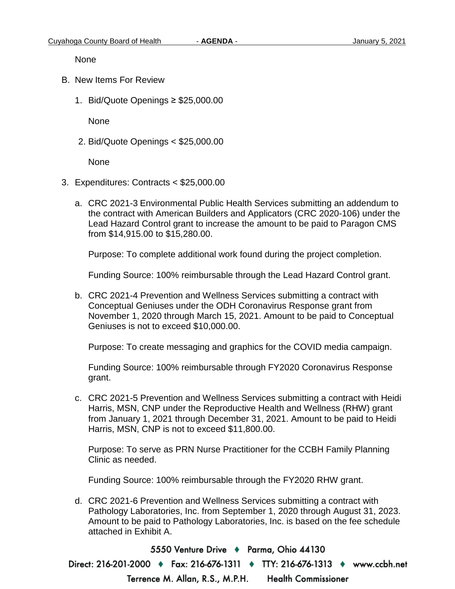None

- B. New Items For Review
	- 1. Bid/Quote Openings ≥ \$25,000.00

None

2. Bid/Quote Openings < \$25,000.00

None

- 3. Expenditures: Contracts < \$25,000.00
	- a. CRC 2021-3 Environmental Public Health Services submitting an addendum to the contract with American Builders and Applicators (CRC 2020-106) under the Lead Hazard Control grant to increase the amount to be paid to Paragon CMS from \$14,915.00 to \$15,280.00.

Purpose: To complete additional work found during the project completion.

Funding Source: 100% reimbursable through the Lead Hazard Control grant.

b. CRC 2021-4 Prevention and Wellness Services submitting a contract with Conceptual Geniuses under the ODH Coronavirus Response grant from November 1, 2020 through March 15, 2021. Amount to be paid to Conceptual Geniuses is not to exceed \$10,000.00.

Purpose: To create messaging and graphics for the COVID media campaign.

Funding Source: 100% reimbursable through FY2020 Coronavirus Response grant.

c. CRC 2021-5 Prevention and Wellness Services submitting a contract with Heidi Harris, MSN, CNP under the Reproductive Health and Wellness (RHW) grant from January 1, 2021 through December 31, 2021. Amount to be paid to Heidi Harris, MSN, CNP is not to exceed \$11,800.00.

Purpose: To serve as PRN Nurse Practitioner for the CCBH Family Planning Clinic as needed.

Funding Source: 100% reimbursable through the FY2020 RHW grant.

d. CRC 2021-6 Prevention and Wellness Services submitting a contract with Pathology Laboratories, Inc. from September 1, 2020 through August 31, 2023. Amount to be paid to Pathology Laboratories, Inc. is based on the fee schedule attached in Exhibit A.

5550 Venture Drive + Parma, Ohio 44130 Direct: 216-201-2000 ♦ Fax: 216-676-1311 ♦ TTY: 216-676-1313 ♦ www.ccbh.net Terrence M. Allan, R.S., M.P.H. **Health Commissioner**